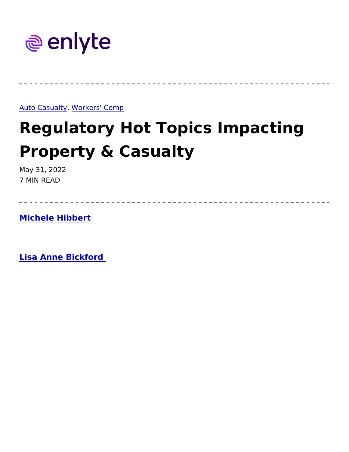[Auto Casu](https://www.enlyte.com/insights/auto-casualty), a Wtg rkers' Comp

# Regulatory Hot Topics Impacti Property & Casualty

May 31, 2022 7 MIN READ

[Michele Hibb](https://www.enlyte.com/michele-hibbert)ert

[Lisa Anne Bickf](https://www.enlyte.com/lisa-anne-bickford)ord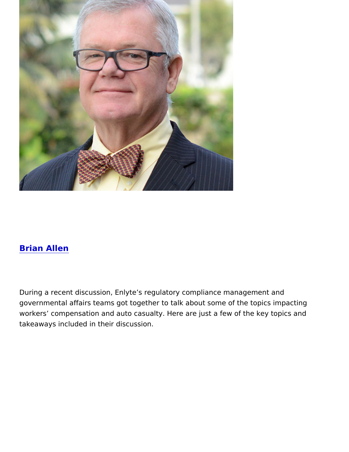#### [Brian All](https://www.enlyte.com/brian-allen)en

During a recent discussion, Enlyte s regulatory compliance manage governmental affairs teams got together to talk about some of the t workers compensation and auto casualty. Here are just a few of th takeaways included in their discussion.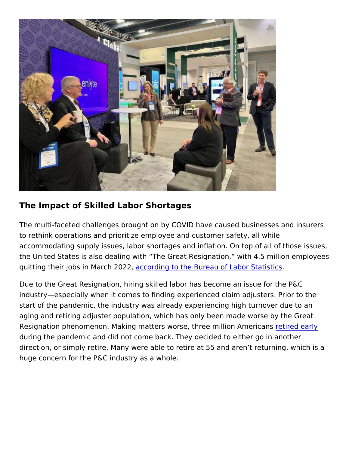#### The Impact of Skilled Labor Shortages

The multi-faceted challenges brought on by COVID have caused bus to rethink operations and prioritize employee and customer safety, accommodating supply issues, labor shortages and inflation. On top the United States is also dealing with The Great Resignation, with quitting their jobs in Maacho2d Pr2g to the Bureau of Labor Statistics

Due to the Great Resignation, hiring skilled labor has become an is industry especially when it comes to finding experienced claim adju start of the pandemic, the industry was already experiencing high t aging and retiring adjuster population, which has only been made w Resignation phenomenon. Making matters worse, threre timid bioenarAmer during the pandemic and did not come back. They decided to either direction, or simply retire. Many were able to retire at 55 and aren huge concern for the P&C industry as a whole.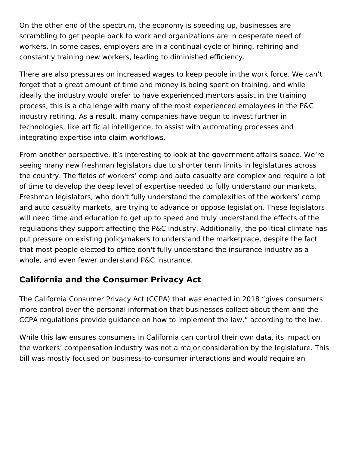On the other end of the spectrum, the economy is speeding up, businesses are scrambling to get people back to work and organizations are in desperate need of workers. In some cases, employers are in a continual cycle of hiring, rehiring and constantly training new workers, leading to diminished efficiency.

There are also pressures on increased wages to keep people in the work force. We can't forget that a great amount of time and money is being spent on training, and while ideally the industry would prefer to have experienced mentors assist in the training process, this is a challenge with many of the most experienced employees in the P&C industry retiring. As a result, many companies have begun to invest further in technologies, like artificial intelligence, to assist with automating processes and integrating expertise into claim workflows.

From another perspective, it's interesting to look at the government affairs space. We're seeing many new freshman legislators due to shorter term limits in legislatures across the country. The fields of workers' comp and auto casualty are complex and require a lot of time to develop the deep level of expertise needed to fully understand our markets. Freshman legislators, who don't fully understand the complexities of the workers' comp and auto casualty markets, are trying to advance or oppose legislation. These legislators will need time and education to get up to speed and truly understand the effects of the regulations they support affecting the P&C industry. Additionally, the political climate has put pressure on existing policymakers to understand the marketplace, despite the fact that most people elected to office don't fully understand the insurance industry as a whole, and even fewer understand P&C insurance.

## **California and the Consumer Privacy Act**

The California Consumer Privacy Act (CCPA) that was enacted in 2018 "gives consumers more control over the personal information that businesses collect about them and the CCPA regulations provide guidance on how to implement the law," according to the law.

While this law ensures consumers in California can control their own data, its impact on the workers' compensation industry was not a major consideration by the legislature. This bill was mostly focused on business-to-consumer interactions and would require an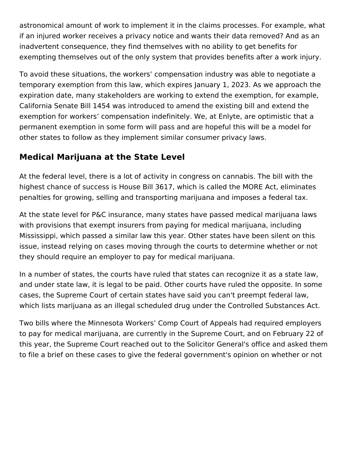astronomical amount of work to implement it in the claims processes. For example, what if an injured worker receives a privacy notice and wants their data removed? And as an inadvertent consequence, they find themselves with no ability to get benefits for exempting themselves out of the only system that provides benefits after a work injury.

To avoid these situations, the workers' compensation industry was able to negotiate a temporary exemption from this law, which expires January 1, 2023. As we approach the expiration date, many stakeholders are working to extend the exemption, for example, California Senate Bill 1454 was introduced to amend the existing bill and extend the exemption for workers' compensation indefinitely. We, at Enlyte, are optimistic that a permanent exemption in some form will pass and are hopeful this will be a model for other states to follow as they implement similar consumer privacy laws.

## **Medical Marijuana at the State Level**

At the federal level, there is a lot of activity in congress on cannabis. The bill with the highest chance of success is House Bill 3617, which is called the MORE Act, eliminates penalties for growing, selling and transporting marijuana and imposes a federal tax.

At the state level for P&C insurance, many states have passed medical marijuana laws with provisions that exempt insurers from paying for medical marijuana, including Mississippi, which passed a similar law this year. Other states have been silent on this issue, instead relying on cases moving through the courts to determine whether or not they should require an employer to pay for medical marijuana.

In a number of states, the courts have ruled that states can recognize it as a state law, and under state law, it is legal to be paid. Other courts have ruled the opposite. In some cases, the Supreme Court of certain states have said you can't preempt federal law, which lists marijuana as an illegal scheduled drug under the Controlled Substances Act.

Two bills where the Minnesota Workers' Comp Court of Appeals had required employers to pay for medical marijuana, are currently in the Supreme Court, and on February 22 of this year, the Supreme Court reached out to the Solicitor General's office and asked them to file a brief on these cases to give the federal government's opinion on whether or not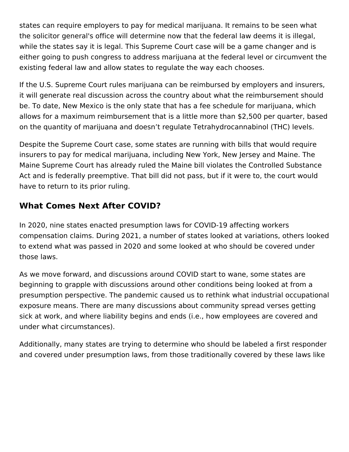states can require employers to pay for medical marijuana. It remains to be seen what the solicitor general's office will determine now that the federal law deems it is illegal, while the states say it is legal. This Supreme Court case will be a game changer and is either going to push congress to address marijuana at the federal level or circumvent the existing federal law and allow states to regulate the way each chooses.

If the U.S. Supreme Court rules marijuana can be reimbursed by employers and insurers, it will generate real discussion across the country about what the reimbursement should be. To date, New Mexico is the only state that has a fee schedule for marijuana, which allows for a maximum reimbursement that is a little more than \$2,500 per quarter, based on the quantity of marijuana and doesn't regulate Tetrahydrocannabinol (THC) levels.

Despite the Supreme Court case, some states are running with bills that would require insurers to pay for medical marijuana, including New York, New Jersey and Maine. The Maine Supreme Court has already ruled the Maine bill violates the Controlled Substance Act and is federally preemptive. That bill did not pass, but if it were to, the court would have to return to its prior ruling.

### **What Comes Next After COVID?**

In 2020, nine states enacted presumption laws for COVID-19 affecting workers compensation claims. During 2021, a number of states looked at variations, others looked to extend what was passed in 2020 and some looked at who should be covered under those laws.

As we move forward, and discussions around COVID start to wane, some states are beginning to grapple with discussions around other conditions being looked at from a presumption perspective. The pandemic caused us to rethink what industrial occupational exposure means. There are many discussions about community spread verses getting sick at work, and where liability begins and ends (i.e., how employees are covered and under what circumstances).

Additionally, many states are trying to determine who should be labeled a first responder and covered under presumption laws, from those traditionally covered by these laws like